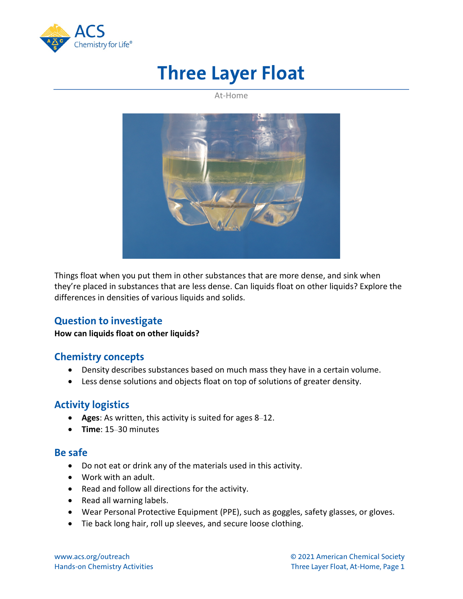

# **Three Layer Float**

At-Home



Things float when you put them in other substances that are more dense, and sink when they're placed in substances that are less dense. Can liquids float on other liquids? Explore the differences in densities of various liquids and solids.

## **Question to investigate**

#### **How can liquids float on other liquids?**

### **Chemistry concepts**

- Density describes substances based on much mass they have in a certain volume.
- Less dense solutions and objects float on top of solutions of greater density.

## **Activity logistics**

- **Ages**: As written, this activity is suited for ages 8–12.
- **Time**: 15–30 minutes

### **Be safe**

- Do not eat or drink any of the materials used in this activity.
- Work with an adult.
- Read and follow all directions for the activity.
- Read all warning labels.
- Wear Personal Protective Equipment (PPE), such as goggles, safety glasses, or gloves.
- Tie back long hair, roll up sleeves, and secure loose clothing.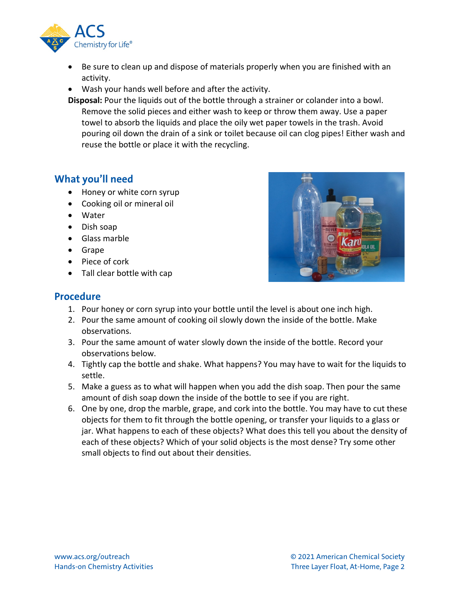

- Be sure to clean up and dispose of materials properly when you are finished with an activity.
- Wash your hands well before and after the activity.
- **Disposal:** Pour the liquids out of the bottle through a strainer or colander into a bowl. Remove the solid pieces and either wash to keep or throw them away. Use a paper towel to absorb the liquids and place the oily wet paper towels in the trash. Avoid pouring oil down the drain of a sink or toilet because oil can clog pipes! Either wash and reuse the bottle or place it with the recycling.

## **What you'll need**

- Honey or white corn syrup
- Cooking oil or mineral oil
- Water
- Dish soap
- Glass marble
- Grape
- Piece of cork
- Tall clear bottle with cap



## **Procedure**

- 1. Pour honey or corn syrup into your bottle until the level is about one inch high.
- 2. Pour the same amount of cooking oil slowly down the inside of the bottle. Make observations.
- 3. Pour the same amount of water slowly down the inside of the bottle. Record your observations below.
- 4. Tightly cap the bottle and shake. What happens? You may have to wait for the liquids to settle.
- 5. Make a guess as to what will happen when you add the dish soap. Then pour the same amount of dish soap down the inside of the bottle to see if you are right.
- 6. One by one, drop the marble, grape, and cork into the bottle. You may have to cut these objects for them to fit through the bottle opening, or transfer your liquids to a glass or jar. What happens to each of these objects? What does this tell you about the density of each of these objects? Which of your solid objects is the most dense? Try some other small objects to find out about their densities.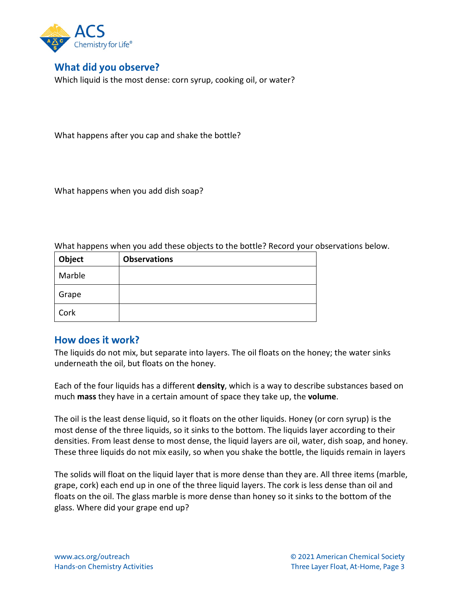

## **What did you observe?**

Which liquid is the most dense: corn syrup, cooking oil, or water?

What happens after you cap and shake the bottle?

What happens when you add dish soap?

What happens when you add these objects to the bottle? Record your observations below.

| Object | <b>Observations</b> |
|--------|---------------------|
| Marble |                     |
| Grape  |                     |
| Cork   |                     |

### **How does it work?**

The liquids do not mix, but separate into layers. The oil floats on the honey; the water sinks underneath the oil, but floats on the honey.

Each of the four liquids has a different **density**, which is a way to describe substances based on much **mass** they have in a certain amount of space they take up, the **volume**.

The oil is the least dense liquid, so it floats on the other liquids. Honey (or corn syrup) is the most dense of the three liquids, so it sinks to the bottom. The liquids layer according to their densities. From least dense to most dense, the liquid layers are oil, water, dish soap, and honey. These three liquids do not mix easily, so when you shake the bottle, the liquids remain in layers

The solids will float on the liquid layer that is more dense than they are. All three items (marble, grape, cork) each end up in one of the three liquid layers. The cork is less dense than oil and floats on the oil. The glass marble is more dense than honey so it sinks to the bottom of the glass. Where did your grape end up?